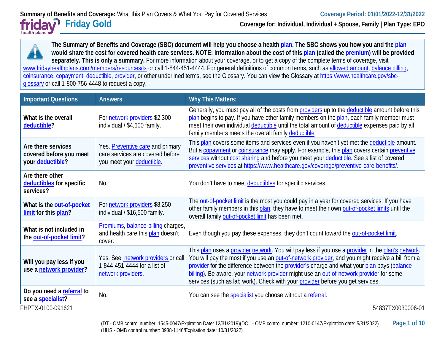**Friday Gold Coverage for: Individual, Individual + Spouse, Family | Plan Type: EPO**

health plans

**The Summary of Benefits and Coverage (SBC) document will help you choose a healt[h plan.](https://www.healthcare.gov/sbc-glossary/#plan) The SBC shows you how you and the [plan](https://www.healthcare.gov/sbc-glossary/#plan) would share the cost for covered health care services. NOTE: Information about the cost of this [plan](https://www.healthcare.gov/sbc-glossary/#plan) (called the [premium\)](https://www.healthcare.gov/sbc-glossary/#premium) will be provided separately. This is only a summary.** For more information about your coverage, or to get a copy of the complete terms of coverage, visit [www.fridayhealthplans.com/members/resources/tx](http://www.fridayhealthplans.com/members/resources/tx) or call 1-844-451-4444. For general definitions of common terms, such a[s allowed amount,](https://www.healthcare.gov/sbc-glossary/#allowed-amount) [balance billing,](https://www.healthcare.gov/sbc-glossary/#balance-billing) [coinsurance,](https://www.healthcare.gov/sbc-glossary/#coinsurance) [copayment,](https://www.healthcare.gov/sbc-glossary/#copayment) [deductible,](https://www.healthcare.gov/sbc-glossary/#deductible) [provider,](https://www.healthcare.gov/sbc-glossary/#provider) or other underlined terms, see the Glossary. You can view the Glossary at [https://www.healthcare.gov/sbc](https://www.healthcare.gov/sbc-glossary)[glossary](https://www.healthcare.gov/sbc-glossary) or call 1-800-756-4448 to request a copy.

| <b>Important Questions</b>                                        | <b>Answers</b>                                                                                    | <b>Why This Matters:</b>                                                                                                                                                                                                                                                                                                                                                                                                                                                         |
|-------------------------------------------------------------------|---------------------------------------------------------------------------------------------------|----------------------------------------------------------------------------------------------------------------------------------------------------------------------------------------------------------------------------------------------------------------------------------------------------------------------------------------------------------------------------------------------------------------------------------------------------------------------------------|
| What is the overall<br>deductible?                                | For network providers \$2,300<br>individual / \$4,600 family.                                     | Generally, you must pay all of the costs from providers up to the deductible amount before this<br>plan begins to pay. If you have other family members on the plan, each family member must<br>meet their own individual deductible until the total amount of deductible expenses paid by all<br>family members meets the overall family deductible.                                                                                                                            |
| Are there services<br>covered before you meet<br>your deductible? | Yes. Preventive care and primary<br>care services are covered before<br>you meet your deductible. | This plan covers some items and services even if you haven't yet met the deductible amount.<br>But a copayment or coinsurance may apply. For example, this plan covers certain preventive<br>services without cost sharing and before you meet your deductible. See a list of covered<br>preventive services at https://www.healthcare.gov/coverage/preventive-care-benefits/.                                                                                                   |
| Are there other<br>deductibles for specific<br>services?          | No.                                                                                               | You don't have to meet deductibles for specific services.                                                                                                                                                                                                                                                                                                                                                                                                                        |
| What is the out-of-pocket<br>limit for this plan?                 | For network providers \$8,250<br>individual / \$16,500 family.                                    | The out-of-pocket limit is the most you could pay in a year for covered services. If you have<br>other family members in this plan, they have to meet their own out-of-pocket limits until the<br>overall family out-of-pocket limit has been met.                                                                                                                                                                                                                               |
| What is not included in<br>the out-of-pocket limit?               | Premiums, balance-billing charges,<br>and health care this plan doesn't<br>cover.                 | Even though you pay these expenses, they don't count toward the out-of-pocket limit.                                                                                                                                                                                                                                                                                                                                                                                             |
| Will you pay less if you<br>use a network provider?               | Yes. See network providers or call<br>1-844-451-4444 for a list of<br>network providers.          | This plan uses a provider network. You will pay less if you use a provider in the plan's network.<br>You will pay the most if you use an out-of-network provider, and you might receive a bill from a<br>provider for the difference between the provider's charge and what your plan pays (balance<br>billing). Be aware, your network provider might use an out-of-network provider for some<br>services (such as lab work). Check with your provider before you get services. |
| Do you need a referral to<br>see a specialist?                    | No.                                                                                               | You can see the specialist you choose without a referral.                                                                                                                                                                                                                                                                                                                                                                                                                        |
| FHPTX-0100-091621                                                 |                                                                                                   | 54837TX0030006-01                                                                                                                                                                                                                                                                                                                                                                                                                                                                |

(DT - OMB control number: 1545-0047/Expiration Date: 12/31/2019)(DOL - OMB control number: 1210-0147/Expiration date: 5/31/2022) **Page 1 of 10** (HHS - OMB control number: 0938-1146/Expiration date: 10/31/2022)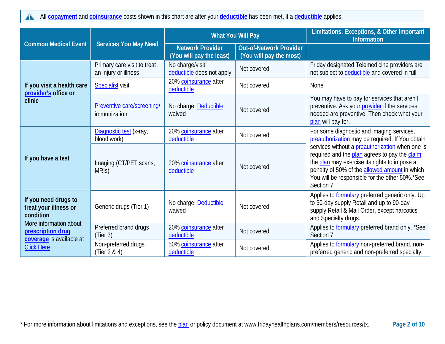All **[copayment](https://www.healthcare.gov/sbc-glossary/#copayment)** and **[coinsurance](https://www.healthcare.gov/sbc-glossary/#coinsurance)** costs shown in this chart are after your **[deductible](https://www.healthcare.gov/sbc-glossary/#deductible)** has been met, if a **[deductible](https://www.healthcare.gov/sbc-glossary/#deductible)** applies.  $\blacktriangle$ 

|                                                                                              |                                                     | <b>What You Will Pay</b>                            |                                                           | Limitations, Exceptions, & Other Important<br><b>Information</b>                                                                                                                                                                                                  |
|----------------------------------------------------------------------------------------------|-----------------------------------------------------|-----------------------------------------------------|-----------------------------------------------------------|-------------------------------------------------------------------------------------------------------------------------------------------------------------------------------------------------------------------------------------------------------------------|
| <b>Common Medical Event</b>                                                                  | <b>Services You May Need</b>                        | <b>Network Provider</b><br>(You will pay the least) | <b>Out-of-Network Provider</b><br>(You will pay the most) |                                                                                                                                                                                                                                                                   |
|                                                                                              | Primary care visit to treat<br>an injury or illness | No charge/visit;<br>deductible does not apply       | Not covered                                               | Friday designated Telemedicine providers are<br>not subject to deductible and covered in full.                                                                                                                                                                    |
| If you visit a health care<br>provider's office or                                           | <b>Specialist</b> visit                             | 20% coinsurance after<br>deductible                 | Not covered                                               | <b>None</b>                                                                                                                                                                                                                                                       |
| clinic                                                                                       | Preventive care/screening/<br>immunization          | No charge; Deductible<br>waived                     | Not covered                                               | You may have to pay for services that aren't<br>preventive. Ask your provider if the services<br>needed are preventive. Then check what your<br>plan will pay for.                                                                                                |
|                                                                                              | Diagnostic test (x-ray,<br>blood work)              | 20% coinsurance after<br>deductible                 | Not covered                                               | For some diagnostic and imaging services,<br>preauthorization may be required. If You obtain                                                                                                                                                                      |
| If you have a test                                                                           | Imaging (CT/PET scans,<br>MRIS)                     | 20% coinsurance after<br>deductible                 | Not covered                                               | services without a preauthorization when one is<br>required and the plan agrees to pay the claim;<br>the plan may exercise its rights to impose a<br>penalty of 50% of the allowed amount in which<br>You will be responsible for the other 50%.*See<br>Section 7 |
| If you need drugs to<br>treat your illness or<br>condition                                   | Generic drugs (Tier 1)                              | No charge; Deductible<br>waived                     | Not covered                                               | Applies to formulary preferred generic only. Up<br>to 30-day supply Retail and up to 90-day<br>supply Retail & Mail Order, except narcotics<br>and Specialty drugs.                                                                                               |
| More information about<br>prescription drug<br>coverage is available at<br><b>Click Here</b> | Preferred brand drugs<br>(Tier 3)                   | 20% coinsurance after<br>deductible                 | Not covered                                               | Applies to formulary preferred brand only. *See<br>Section 7                                                                                                                                                                                                      |
|                                                                                              | Non-preferred drugs<br>(Tier $2 & 4$ )              | 50% coinsurance after<br>deductible                 | Not covered                                               | Applies to formulary non-preferred brand, non-<br>preferred generic and non-preferred specialty.                                                                                                                                                                  |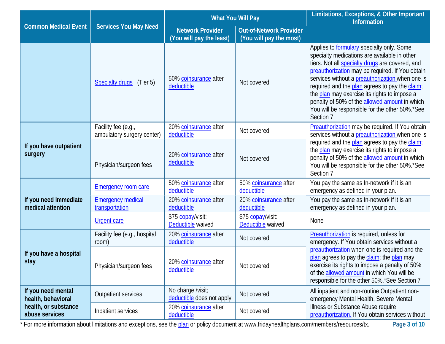|                                            |                                                   | <b>What You Will Pay</b>                            |                                                           | Limitations, Exceptions, & Other Important<br><b>Information</b>                                                                                                                                                                                                                                                                                                                                                                                                            |
|--------------------------------------------|---------------------------------------------------|-----------------------------------------------------|-----------------------------------------------------------|-----------------------------------------------------------------------------------------------------------------------------------------------------------------------------------------------------------------------------------------------------------------------------------------------------------------------------------------------------------------------------------------------------------------------------------------------------------------------------|
| <b>Common Medical Event</b>                | <b>Services You May Need</b>                      | <b>Network Provider</b><br>(You will pay the least) | <b>Out-of-Network Provider</b><br>(You will pay the most) |                                                                                                                                                                                                                                                                                                                                                                                                                                                                             |
|                                            | <b>Specialty drugs</b><br>(Tier 5)                | 50% coinsurance after<br>deductible                 | Not covered                                               | Applies to formulary specialty only. Some<br>specialty medications are available in other<br>tiers. Not all <b>specialty drugs</b> are covered, and<br>preauthorization may be required. If You obtain<br>services without a preauthorization when one is<br>required and the plan agrees to pay the claim;<br>the plan may exercise its rights to impose a<br>penalty of 50% of the allowed amount in which<br>You will be responsible for the other 50%.*See<br>Section 7 |
|                                            | Facility fee (e.g.,<br>ambulatory surgery center) | 20% coinsurance after<br>deductible                 | Not covered                                               | Preauthorization may be required. If You obtain<br>services without a preauthorization when one is                                                                                                                                                                                                                                                                                                                                                                          |
| If you have outpatient<br>surgery          | Physician/surgeon fees                            | 20% coinsurance after<br>deductible                 | Not covered                                               | required and the plan agrees to pay the claim;<br>the plan may exercise its rights to impose a<br>penalty of 50% of the allowed amount in which<br>You will be responsible for the other 50%.*See<br>Section 7                                                                                                                                                                                                                                                              |
|                                            | <b>Emergency room care</b>                        | 50% coinsurance after<br>deductible                 | 50% coinsurance after<br>deductible                       | You pay the same as In-network if it is an<br>emergency as defined in your plan.                                                                                                                                                                                                                                                                                                                                                                                            |
| If you need immediate<br>medical attention | <b>Emergency medical</b><br>transportation        | 20% coinsurance after<br>deductible                 | 20% coinsurance after<br>deductible                       | You pay the same as In-network if it is an<br>emergency as defined in your plan.                                                                                                                                                                                                                                                                                                                                                                                            |
|                                            | <b>Urgent care</b>                                | \$75 copay/visit:<br>Deductible waived              | \$75 copay/visit:<br>Deductible waived                    | <b>None</b>                                                                                                                                                                                                                                                                                                                                                                                                                                                                 |
|                                            | Facility fee (e.g., hospital<br>room)             | 20% coinsurance after<br>deductible                 | Not covered                                               | Preauthorization is required, unless for<br>emergency. If You obtain services without a                                                                                                                                                                                                                                                                                                                                                                                     |
| If you have a hospital<br>stay             | Physician/surgeon fees                            | 20% coinsurance after<br>deductible                 | Not covered                                               | preauthorization when one is required and the<br>plan agrees to pay the claim; the plan may<br>exercise its rights to impose a penalty of 50%<br>of the allowed amount in which You will be<br>responsible for the other 50%.*See Section 7                                                                                                                                                                                                                                 |
| If you need mental<br>health, behavioral   | <b>Outpatient services</b>                        | No charge /visit;<br>deductible does not apply      | Not covered                                               | All inpatient and non-routine Outpatient non-<br>emergency Mental Health, Severe Mental                                                                                                                                                                                                                                                                                                                                                                                     |
| health, or substance<br>abuse services     | Inpatient services                                | 20% coinsurance after<br>deductible                 | Not covered                                               | Illness or Substance Abuse require<br>preauthorization. If You obtain services without                                                                                                                                                                                                                                                                                                                                                                                      |

\* For more information about limitations and exceptions, see the [plan](https://www.healthcare.gov/sbc-glossary/#plan) or policy document at www.fridayhealthplans.com/members/resources/tx. **Page 3 of 10**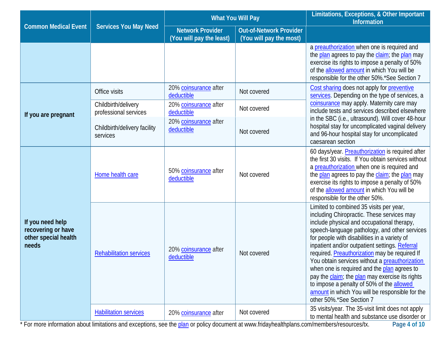|                                                                         |                                              | <b>What You Will Pay</b>                            |                                                           | Limitations, Exceptions, & Other Important<br><b>Information</b>                                                                                                                                                                                                                                                                                                                                                                                                                                                                                                                                                        |
|-------------------------------------------------------------------------|----------------------------------------------|-----------------------------------------------------|-----------------------------------------------------------|-------------------------------------------------------------------------------------------------------------------------------------------------------------------------------------------------------------------------------------------------------------------------------------------------------------------------------------------------------------------------------------------------------------------------------------------------------------------------------------------------------------------------------------------------------------------------------------------------------------------------|
| <b>Common Medical Event</b>                                             | <b>Services You May Need</b>                 | <b>Network Provider</b><br>(You will pay the least) | <b>Out-of-Network Provider</b><br>(You will pay the most) |                                                                                                                                                                                                                                                                                                                                                                                                                                                                                                                                                                                                                         |
|                                                                         |                                              |                                                     |                                                           | a preauthorization when one is required and<br>the plan agrees to pay the claim; the plan may<br>exercise its rights to impose a penalty of 50%<br>of the allowed amount in which You will be<br>responsible for the other 50%.*See Section 7                                                                                                                                                                                                                                                                                                                                                                           |
|                                                                         | Office visits                                | 20% coinsurance after<br>deductible                 | Not covered                                               | Cost sharing does not apply for preventive<br>services. Depending on the type of services, a                                                                                                                                                                                                                                                                                                                                                                                                                                                                                                                            |
| If you are pregnant                                                     | Childbirth/delivery<br>professional services | 20% coinsurance after<br>deductible                 | Not covered                                               | coinsurance may apply. Maternity care may<br>include tests and services described elsewhere                                                                                                                                                                                                                                                                                                                                                                                                                                                                                                                             |
|                                                                         | Childbirth/delivery facility<br>services     | 20% coinsurance after<br>deductible                 | Not covered                                               | in the SBC (i.e., ultrasound). Will cover 48-hour<br>hospital stay for uncomplicated vaginal delivery<br>and 96-hour hospital stay for uncomplicated<br>caesarean section                                                                                                                                                                                                                                                                                                                                                                                                                                               |
|                                                                         | Home health care                             | 50% coinsurance after<br>deductible                 | Not covered                                               | 60 days/year. Preauthorization is required after<br>the first 30 visits. If You obtain services without<br>a preauthorization when one is required and<br>the plan agrees to pay the claim; the plan may<br>exercise its rights to impose a penalty of 50%<br>of the allowed amount in which You will be<br>responsible for the other 50%.                                                                                                                                                                                                                                                                              |
| If you need help<br>recovering or have<br>other special health<br>needs | <b>Rehabilitation services</b>               | 20% coinsurance after<br>deductible                 | Not covered                                               | Limited to combined 35 visits per year,<br>including Chiropractic. These services may<br>include physical and occupational therapy,<br>speech-language pathology, and other services<br>for people with disabilities in a variety of<br>inpatient and/or outpatient settings. Referral<br>required. Preauthorization may be required If<br>You obtain services without a preauthorization<br>when one is required and the plan agrees to<br>pay the claim; the plan may exercise its rights<br>to impose a penalty of 50% of the allowed<br>amount in which You will be responsible for the<br>other 50%.*See Section 7 |
|                                                                         | <b>Habilitation services</b>                 | 20% coinsurance after                               | Not covered                                               | 35 visits/year. The 35-visit limit does not apply<br>to mental health and substance use disorder or                                                                                                                                                                                                                                                                                                                                                                                                                                                                                                                     |

\* For more information about limitations and exceptions, see the [plan](https://www.healthcare.gov/sbc-glossary/#plan) or policy document at www.fridayhealthplans.com/members/resources/tx. **Page 4 of 10**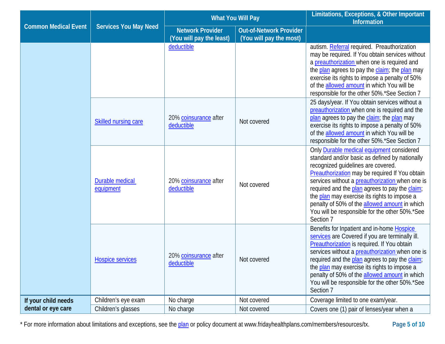|                             |                                     | <b>What You Will Pay</b>                            |                                                           | Limitations, Exceptions, & Other Important<br><b>Information</b>                                                                                                                                                                                                                                                                                                                                                                                                |
|-----------------------------|-------------------------------------|-----------------------------------------------------|-----------------------------------------------------------|-----------------------------------------------------------------------------------------------------------------------------------------------------------------------------------------------------------------------------------------------------------------------------------------------------------------------------------------------------------------------------------------------------------------------------------------------------------------|
| <b>Common Medical Event</b> | <b>Services You May Need</b>        | <b>Network Provider</b><br>(You will pay the least) | <b>Out-of-Network Provider</b><br>(You will pay the most) |                                                                                                                                                                                                                                                                                                                                                                                                                                                                 |
|                             |                                     | deductible                                          |                                                           | autism. Referral required. Preauthorization<br>may be required. If You obtain services without<br>a preauthorization when one is required and<br>the plan agrees to pay the claim; the plan may<br>exercise its rights to impose a penalty of 50%<br>of the allowed amount in which You will be<br>responsible for the other 50%.*See Section 7                                                                                                                 |
|                             | <b>Skilled nursing care</b>         | 20% coinsurance after<br>deductible                 | Not covered                                               | 25 days/year. If You obtain services without a<br>preauthorization when one is required and the<br>plan agrees to pay the claim; the plan may<br>exercise its rights to impose a penalty of 50%<br>of the allowed amount in which You will be<br>responsible for the other 50%.*See Section 7                                                                                                                                                                   |
|                             | <b>Durable medical</b><br>equipment | 20% coinsurance after<br>deductible                 | Not covered                                               | Only <b>Durable medical equipment</b> considered<br>standard and/or basic as defined by nationally<br>recognized guidelines are covered.<br>Preauthorization may be required If You obtain<br>services without a preauthorization when one is<br>required and the plan agrees to pay the claim;<br>the plan may exercise its rights to impose a<br>penalty of 50% of the allowed amount in which<br>You will be responsible for the other 50%.*See<br>Section 7 |
|                             | <b>Hospice services</b>             | 20% coinsurance after<br>deductible                 | Not covered                                               | Benefits for Inpatient and in-home Hospice<br>services are Covered if you are terminally ill.<br>Preauthorization is required. If You obtain<br>services without a preauthorization when one is<br>required and the plan agrees to pay the claim;<br>the plan may exercise its rights to impose a<br>penalty of 50% of the allowed amount in which<br>You will be responsible for the other 50%.*See<br>Section 7                                               |
| If your child needs         | Children's eye exam                 | No charge                                           | Not covered                                               | Coverage limited to one exam/year.                                                                                                                                                                                                                                                                                                                                                                                                                              |
| dental or eye care          | Children's glasses                  | No charge                                           | Not covered                                               | Covers one (1) pair of lenses/year when a                                                                                                                                                                                                                                                                                                                                                                                                                       |

\* For more information about limitations and exceptions, see the [plan](https://www.healthcare.gov/sbc-glossary/#plan) or policy document at www.fridayhealthplans.com/members/resources/tx. **Page 5 of 10**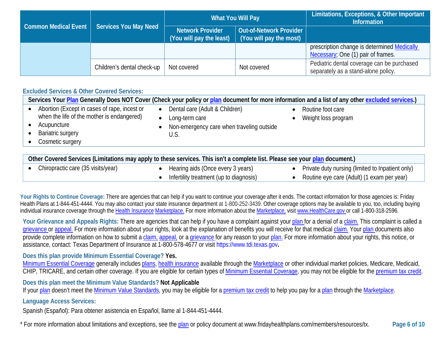|                      |                              | What You Will Pay                                   |                                                    | Limitations, Exceptions, & Other Important<br><b>Information</b>                  |
|----------------------|------------------------------|-----------------------------------------------------|----------------------------------------------------|-----------------------------------------------------------------------------------|
| Common Medical Event | <b>Services You May Need</b> | <b>Network Provider</b><br>(You will pay the least) | Out-of-Network Provider<br>(You will pay the most) |                                                                                   |
|                      |                              |                                                     |                                                    | prescription change is determined Medically<br>Necessary; One (1) pair of frames. |
|                      | Children's dental check-up   | Not covered                                         | Not covered                                        | Pediatric dental coverage can be purchased<br>separately as a stand-alone policy. |

### **Excluded Services & Other Covered Services:**

|                                                                                                                                                    |                                                                                                                    | Services Your Plan Generally Does NOT Cover (Check your policy or plan document for more information and a list of any other excluded services.) |
|----------------------------------------------------------------------------------------------------------------------------------------------------|--------------------------------------------------------------------------------------------------------------------|--------------------------------------------------------------------------------------------------------------------------------------------------|
| Abortion (Except in cases of rape, incest or<br>when the life of the mother is endangered)<br>Acupuncture<br>Bariatric surgery<br>Cosmetic surgery | Dental care (Adult & Children)<br>$\bullet$<br>Long-term care<br>Non-emergency care when traveling outside<br>U.S. | Routine foot care<br>Weight loss program                                                                                                         |
|                                                                                                                                                    |                                                                                                                    |                                                                                                                                                  |

| Other Covered Services (Limitations may apply to these services. This isn't a complete list. Please see your plan document.) |                                             |                                                  |  |
|------------------------------------------------------------------------------------------------------------------------------|---------------------------------------------|--------------------------------------------------|--|
| Chiropractic care (35 visits/year)                                                                                           | $\bullet$ Hearing aids (Once every 3 years) | Private duty nursing (limited to Inpatient only) |  |
|                                                                                                                              | Infertility treatment (up to diagnosis)     | Routine eye care (Adult) (1 exam per year)       |  |

Your Rights to Continue Coverage: There are agencies that can help if you want to continue your coverage after it ends. The contact information for those agencies is: Friday Health Plans at 1-844-451-4444. You may also contact your state insurance department at 1-800-252-3439. Other coverage options may be available to you, too, including buying individual insurance coverage through th[e Health Insurance](https://www.healthcare.gov/sbc-glossary/#health-insurance) [Marketplace.](https://www.healthcare.gov/sbc-glossary/#marketplace) For more information about th[e Marketplace,](https://www.healthcare.gov/sbc-glossary/#marketplace) visit [www.HealthCare.gov](http://www.healthcare.gov/) or call 1-800-318-2596.

Your Grievance and Appeals Rights: There are agencies that can help if you have a complaint against your [plan](https://www.healthcare.gov/sbc-glossary/#plan) for a denial of a [claim.](https://www.healthcare.gov/sbc-glossary/#claim) This complaint is called a [grievance](https://www.healthcare.gov/sbc-glossary/#grievance) or [appeal.](https://www.healthcare.gov/sbc-glossary/#appeal) For more information about your rights, look at the explanation of benefits you will receive for that medical [claim.](https://www.healthcare.gov/sbc-glossary/#claim) Your [plan](https://www.healthcare.gov/sbc-glossary/#plan) documents also provide complete information on how to submit a [claim,](https://www.healthcare.gov/sbc-glossary/#claim) [appeal,](https://www.healthcare.gov/sbc-glossary/#appeal) or a [grievance](https://www.healthcare.gov/sbc-glossary/#grievance) for any reason to your [plan.](https://www.healthcare.gov/sbc-glossary/#plan) For more information about your rights, this notice, or assistance, contact: Texas Department of Insurance at 1-800-578-4677 or visit https://www.tdi.texas.gov**.**

## **Does this plan provide Minimum Essential Coverage? Yes.**

[Minimum Essential Coverage](https://www.healthcare.gov/sbc-glossary/#minimum-essential-coverage) generally include[s plans,](https://www.healthcare.gov/sbc-glossary/#plan) [health insurance](https://www.healthcare.gov/sbc-glossary/#health-insurance) available through the [Marketplace](https://www.healthcare.gov/sbc-glossary/#marketplace) or other individual market policies, Medicare, Medicaid, CHIP, TRICARE, and certain other coverage. If you are eligible for certain types of [Minimum Essential Coverage,](https://www.healthcare.gov/sbc-glossary/#minimum-essential-coverage) you may not be eligible for the [premium tax credit.](https://www.healthcare.gov/sbc-glossary/#premium-tax-credits)

**Does this plan meet the Minimum Value Standards? Not Applicable**

If you[r plan](https://www.healthcare.gov/sbc-glossary/#plan) doesn't meet the [Minimum Value Standards,](https://www.healthcare.gov/sbc-glossary/#minimum-value-standard) you may be eligible for [a premium tax credit](https://www.healthcare.gov/sbc-glossary/#premium-tax-credits) to help you pay for a [plan](https://www.healthcare.gov/sbc-glossary/#plan) through the [Marketplace.](https://www.healthcare.gov/sbc-glossary/#marketplace)

**Language Access Services:**

Spanish (Español): Para obtener asistencia en Español, llame al 1-844-451-4444.

\* For more information about limitations and exceptions, see the [plan](https://www.healthcare.gov/sbc-glossary/#plan) or policy document at www.fridayhealthplans.com/members/resources/tx. **Page 6 of 10**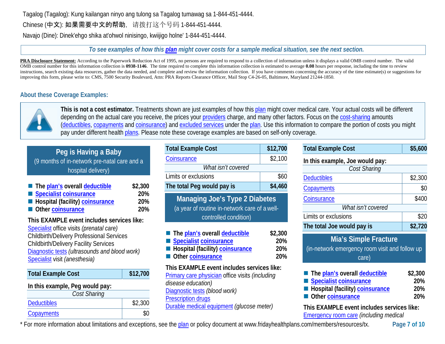# Tagalog (Tagalog): Kung kailangan ninyo ang tulong sa Tagalog tumawag sa 1-844-451-4444.

Chinese (中文): 如果需要中文的帮助, 请拨打这个号码 1-844-451-4444.

Navajo (Dine): Dinek'ehgo shika at'ohwol ninisingo, kwiijigo holne' 1-844-451-4444.

### *To see examples of how this [plan](https://www.healthcare.gov/sbc-glossary/#plan) might cover costs for a sample medical situation, see the next section.*

PRA Disclosure Statement: According to the Paperwork Reduction Act of 1995, no persons are required to respond to a collection of information unless it displays a valid OMB control number. The valid OMB control number for this information collection is **0938-1146**. The time required to complete this information collection is estimated to average **0.08** hours per response, including the time to review instructions, search existing data resources, gather the data needed, and complete and review the information collection. If you have comments concerning the accuracy of the time estimate(s) or suggestions for improving this form, please write to: CMS, 7500 Security Boulevard, Attn: PRA Reports Clearance Officer, Mail Stop C4-26-05, Baltimore, Maryland 21244-1850.

# **About these Coverage Examples:**



**This is not a cost estimator.** Treatments shown are just examples of how this [plan](https://www.healthcare.gov/sbc-glossary/#plan) might cover medical care. Your actual costs will be different depending on the actual care you receive, the prices your [providers](https://www.healthcare.gov/sbc-glossary/#provider) charge, and many other factors. Focus on the [cost-sharing](https://www.healthcare.gov/sbc-glossary/#cost-sharing) amounts [\(deductibles,](https://www.healthcare.gov/sbc-glossary/#deductible) [copayments](https://www.healthcare.gov/sbc-glossary/#copayment) and [coinsurance\)](https://www.healthcare.gov/sbc-glossary/#coinsurance) and [excluded services](https://www.healthcare.gov/sbc-glossary/#excluded-services) under the [plan.](https://www.healthcare.gov/sbc-glossary/#plan) Use this information to compare the portion of costs you might pay under different health [plans.](https://www.healthcare.gov/sbc-glossary/#plan) Please note these coverage examples are based on self-only coverage.

# **Peg is Having a Baby**

(9 months of in-network pre-natal care and a hospital delivery)

| ■ The plan's overall deductible | \$2,300    |
|---------------------------------|------------|
| Specialist coinsurance          | <b>20%</b> |
| Hospital (facility) coinsurance | 20%        |
| Other coinsurance               | <b>20%</b> |

#### **This EXAMPLE event includes services like:** [Specialist](https://www.healthcare.gov/sbc-glossary/#specialist) office visits *(prenatal care)*

Childbirth/Delivery Professional Services Childbirth/Delivery Facility Services [Diagnostic tests](https://www.healthcare.gov/sbc-glossary/#diagnostic-test) *(ultrasounds and blood work)* [Specialist](https://www.healthcare.gov/sbc-glossary/#specialist) visit *(anesthesia)*

| <b>Total Example Cost</b>       | \$12,700 |
|---------------------------------|----------|
| In this example, Peg would pay: |          |
| Cost Sharing                    |          |
| <b>Deductibles</b>              | \$2,300  |
| Copayments                      |          |

| <b>Total Example Cost</b>                                                                                              | \$12,700                     |
|------------------------------------------------------------------------------------------------------------------------|------------------------------|
| Coinsurance                                                                                                            | \$2,100                      |
| What isn't covered                                                                                                     |                              |
| Limits or exclusions                                                                                                   | \$60                         |
| The total Peg would pay is                                                                                             | \$4,460                      |
| <b>Managing Joe's Type 2 Diabetes</b><br>(a year of routine in-network care of a well-<br>controlled condition)        |                              |
| The plan's overall deductible<br><b>Specialist coinsurance</b><br>Hospital (facility) coinsurance<br>Other coinsurance | \$2,300<br>20%<br>20%<br>20% |

**This EXAMPLE event includes services like:** [Primary care physician](https://www.healthcare.gov/sbc-glossary/#primary-care-physician) office visits *(including disease education)* [Diagnostic tests](https://www.healthcare.gov/sbc-glossary/#diagnostic-test) *(blood work)* [Prescription drugs](https://www.healthcare.gov/sbc-glossary/#prescription-drug-coverage) [Durable medical equipment](https://www.healthcare.gov/sbc-glossary/#durable-medical-equipment) *(glucose meter)*

| <b>Total Example Cost</b> | \$5,600 |
|---------------------------|---------|
|                           |         |

| In this example, Joe would pay: |         |  |  |  |
|---------------------------------|---------|--|--|--|
| Cost Sharing                    |         |  |  |  |
| <b>Deductibles</b>              | \$2,300 |  |  |  |
| Copayments                      | \$0     |  |  |  |
| Coinsurance                     | \$400   |  |  |  |
| What isn't covered              |         |  |  |  |
| Limits or exclusions            | \$20    |  |  |  |
| The total Joe would pay is      | \$2,720 |  |  |  |

| Mia's Simple Fracture                          |  |  |  |  |
|------------------------------------------------|--|--|--|--|
| (in-network emergency room visit and follow up |  |  |  |  |
| care)                                          |  |  |  |  |

| The plan's overall deductible            | \$2,300    |
|------------------------------------------|------------|
| Specialist coinsurance                   | <b>20%</b> |
| <b>E</b> Hospital (facility) coinsurance | <b>20%</b> |
| Other coinsurance                        | 20%        |

**This EXAMPLE event includes services like:** [Emergency room care](https://www.healthcare.gov/sbc-glossary/#emergency-room-care-emergency-services) *(including medical* 

\* For more information about limitations and exceptions, see the [plan](https://www.healthcare.gov/sbc-glossary/#plan) or policy document at www.fridayhealthplans.com/members/resources/tx. **Page 7 of 10**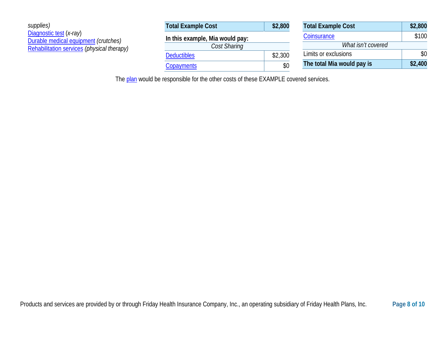| supplies)<br>Diagnostic test (x-ray)<br>Durable medical equipment (crutches)<br>Rehabilitation services (physical therapy) | <b>Total Example Cost</b>       | \$2,800 | <b>Total Example Cost</b>  | \$2,800 |
|----------------------------------------------------------------------------------------------------------------------------|---------------------------------|---------|----------------------------|---------|
|                                                                                                                            | In this example, Mia would pay: |         | Coinsurance                | \$100   |
|                                                                                                                            | Cost Sharing                    |         | What isn't covered         |         |
|                                                                                                                            | <b>Deductibles</b>              | \$2,300 | Limits or exclusions       | \$0     |
|                                                                                                                            | <b>Copayments</b>               | \$0     | The total Mia would pay is | \$2,400 |

The [plan](https://www.healthcare.gov/sbc-glossary/#plan) would be responsible for the other costs of these EXAMPLE covered services.

**Total Example Cost \$2,800**  $$100$ 

**The total Mia would pay is \$2,400**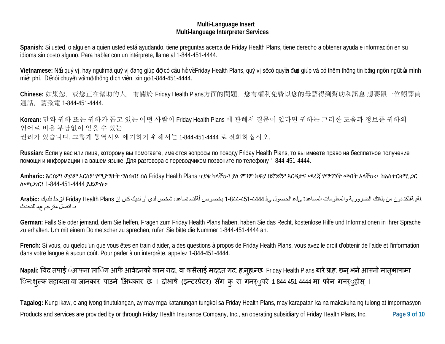#### **Multi-Language Insert Multi-language Interpreter Services**

**Spanish:** Si usted, o alguien a quien usted está ayudando, tiene preguntas acerca de Friday Health Plans, tiene derecho a obtener ayuda e información en su idioma sin costo alguno. Para hablar con un intérprete, llame al 1-844-451-4444.

Vietnamese: Nếu quý vị, hay ngườmà quý vị đang giúp đỡ có câu hỏi vềFriday Health Plans, quý vị sẽcó quyền được giúp và có thêm thông tin bằng ngôn ngữcủa mình miễn phí. Đểnói chuyện vớ mỗ thông dịch viên, xin gọi 1-844-451-4444.

Chinese: 如果您, 或您正在幫助的人, 有關於 Friday Health Plans方面的問題, 您有權利免費以您的母語得到幫助和訊息 想要跟一位翻譯員 通話,請致電 1-844-451-4444.

**Korean:** 만약 귀하 또는 귀하가 돕고 있는 어떤 사람이 Friday Health Plans 에 관해서 질문이 있다면 귀하는 그러한 도움과 정보를 귀하의 언어로 비용 부담없이 얻을 수 있는 권리가 있습니다. 그렇게 통역사와 얘기하기 위해서는 1-844-451-4444 로 전화하십시오.

**Russian:** Если у вас или лица, которому вы помогаете, имеются вопросы по поводу Friday Health Plans, то вы имеете право на бесплатное получение помощи и информации на вашем языке. Для разговора с переводчиком позвоните по телефону 1-844-451-4444.

**Amharic:** እርስዎ፣ ወይም እርስዎ የሚያግዙት ግለሰብ፣ ስለ Friday Health Plans ጥያቄ ካላችሁ፣ ያለ ምንም ክፍያ በቋንቋዎ እርዳታና መረጃ የማግኘት መብት አላችሁ። ከአስተርጓሚ ጋር ለመነጋገር፣ 1-844-451-4444 ይደውሉ።

 .اةی ةفلكت دون من بلغتك الضروریة والمعلومات المساعدة ىلع الحصول يف 1-844-451-4444 بخصوص أةلئس تساعده شخص لدى أو لدیك كان إن Plans Health Friday اقحل فلدیك **:Arabic** بـ اتصل مترجم عم للتحدث

**German:** Falls Sie oder jemand, dem Sie helfen, Fragen zum Friday Health Plans haben, haben Sie das Recht, kostenlose Hilfe und Informationen in Ihrer Sprache zu erhalten. Um mit einem Dolmetscher zu sprechen, rufen Sie bitte die Nummer 1-844-451-4444 an.

**French:** Si vous, ou quelqu'un que vous êtes en train d'aider, a des questions à propos de Friday Health Plans, vous avez le droit d'obtenir de l'aide et l'information dans votre langue à aucun coût. Pour parler à un interprète, appelez 1-844-451-4444.

Napali: यिद तपाई अाफ्ना लािग आफैं आवेदनको काम गद‼, वा कसैलाई मद्दत गद‼ हाजुहान्छ Friday Health Plans बारे प्राह‼ छन् भने आफ्नो मातृभाषामा ृ िन:शुल्क सहायता वा जानकार पाउने अिधकार छ । दोभाषे (इन्टरप्रेटर) सँग कु रा गनर्ुपरे 1-844-451-4444 मा फोन गनर्ुहोस् ।

Products and services are provided by or through Friday Health Insurance Company, Inc., an operating subsidiary of Friday Health Plans, Inc. **Page 9 of 10 Tagalog:** Kung ikaw, o ang iyong tinutulangan, ay may mga katanungan tungkol sa Friday Health Plans, may karapatan ka na makakuha ng tulong at impormasyon